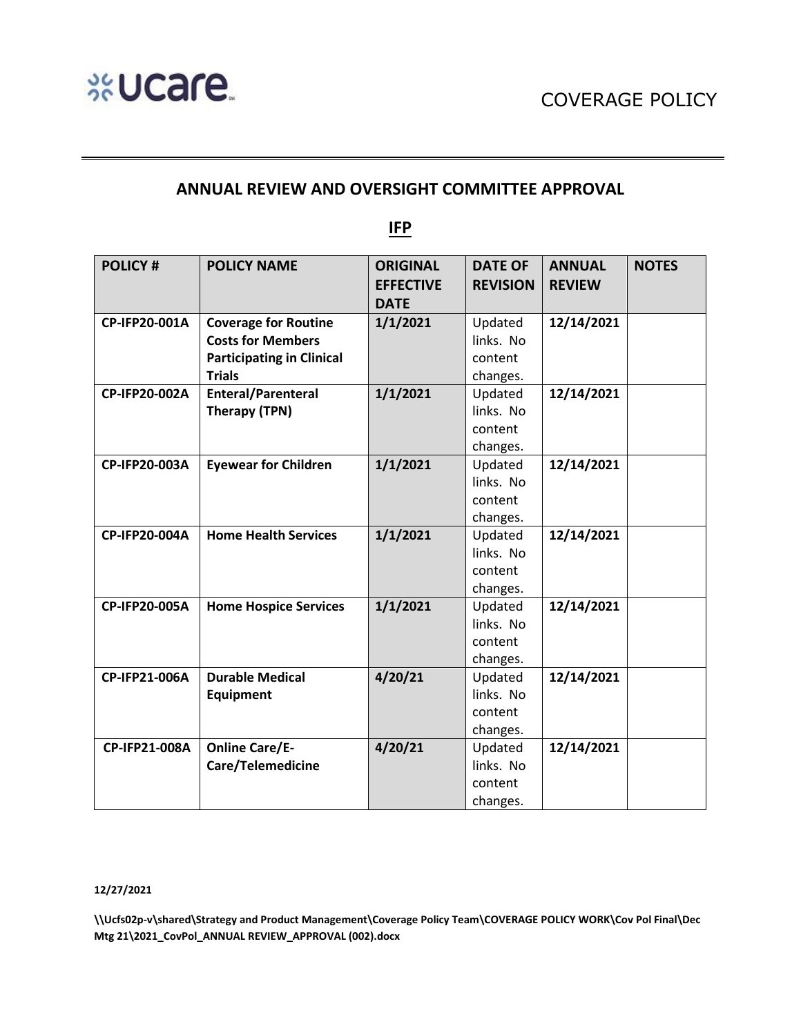# **ANNUAL REVIEW AND OVERSIGHT COMMITTEE APPROVAL**

**IFP**

| <b>POLICY#</b> | <b>POLICY NAME</b>               | <b>ORIGINAL</b>  | <b>DATE OF</b>  | <b>ANNUAL</b> | <b>NOTES</b> |
|----------------|----------------------------------|------------------|-----------------|---------------|--------------|
|                |                                  | <b>EFFECTIVE</b> | <b>REVISION</b> | <b>REVIEW</b> |              |
|                |                                  | <b>DATE</b>      |                 |               |              |
| CP-IFP20-001A  | <b>Coverage for Routine</b>      | 1/1/2021         | Updated         | 12/14/2021    |              |
|                | <b>Costs for Members</b>         |                  | links. No       |               |              |
|                | <b>Participating in Clinical</b> |                  | content         |               |              |
|                | <b>Trials</b>                    |                  | changes.        |               |              |
| CP-IFP20-002A  | <b>Enteral/Parenteral</b>        | 1/1/2021         | Updated         | 12/14/2021    |              |
|                | Therapy (TPN)                    |                  | links. No       |               |              |
|                |                                  |                  | content         |               |              |
|                |                                  |                  | changes.        |               |              |
| CP-IFP20-003A  | <b>Eyewear for Children</b>      | 1/1/2021         | Updated         | 12/14/2021    |              |
|                |                                  |                  | links. No       |               |              |
|                |                                  |                  | content         |               |              |
|                |                                  |                  | changes.        |               |              |
| CP-IFP20-004A  | <b>Home Health Services</b>      | 1/1/2021         | Updated         | 12/14/2021    |              |
|                |                                  |                  | links. No       |               |              |
|                |                                  |                  | content         |               |              |
|                |                                  |                  | changes.        |               |              |
| CP-IFP20-005A  | <b>Home Hospice Services</b>     | 1/1/2021         | Updated         | 12/14/2021    |              |
|                |                                  |                  | links. No       |               |              |
|                |                                  |                  | content         |               |              |
|                |                                  |                  | changes.        |               |              |
| CP-IFP21-006A  | <b>Durable Medical</b>           | 4/20/21          | Updated         | 12/14/2021    |              |
|                | <b>Equipment</b>                 |                  | links. No       |               |              |
|                |                                  |                  | content         |               |              |
|                |                                  |                  | changes.        |               |              |
| CP-IFP21-008A  | <b>Online Care/E-</b>            | 4/20/21          | Updated         | 12/14/2021    |              |
|                | Care/Telemedicine                |                  | links. No       |               |              |
|                |                                  |                  | content         |               |              |
|                |                                  |                  | changes.        |               |              |

#### **12/27/2021**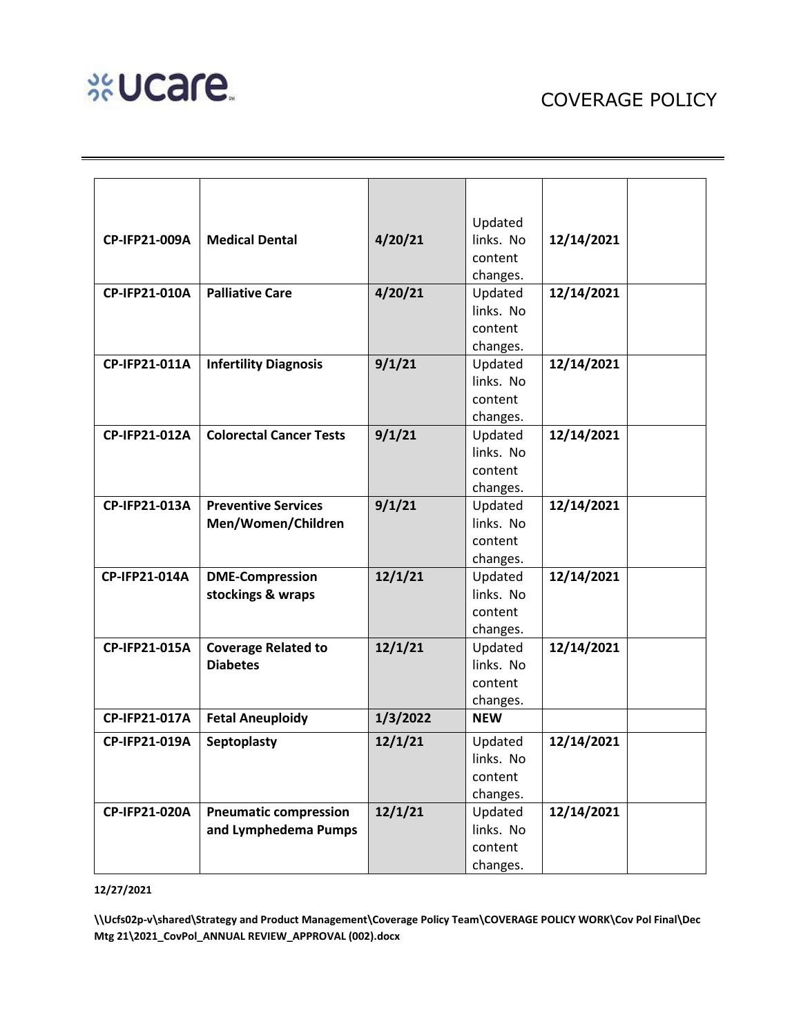# **%Ucare**

|               |                                                      |          | Updated              |            |
|---------------|------------------------------------------------------|----------|----------------------|------------|
| CP-IFP21-009A | <b>Medical Dental</b>                                | 4/20/21  | links. No            | 12/14/2021 |
|               |                                                      |          | content              |            |
|               |                                                      |          | changes.             |            |
| CP-IFP21-010A | <b>Palliative Care</b>                               | 4/20/21  | Updated              | 12/14/2021 |
|               |                                                      |          | links. No            |            |
|               |                                                      |          | content              |            |
|               |                                                      |          | changes.             |            |
| CP-IFP21-011A | <b>Infertility Diagnosis</b>                         | 9/1/21   | Updated              | 12/14/2021 |
|               |                                                      |          | links. No            |            |
|               |                                                      |          | content              |            |
|               |                                                      |          | changes.             |            |
| CP-IFP21-012A | <b>Colorectal Cancer Tests</b>                       | 9/1/21   | Updated              | 12/14/2021 |
|               |                                                      |          | links. No            |            |
|               |                                                      |          | content              |            |
|               |                                                      |          | changes.             |            |
| CP-IFP21-013A | <b>Preventive Services</b>                           | 9/1/21   | Updated              | 12/14/2021 |
|               | Men/Women/Children                                   |          | links. No            |            |
|               |                                                      |          | content              |            |
|               |                                                      |          | changes.             |            |
| CP-IFP21-014A | <b>DME-Compression</b>                               | 12/1/21  | Updated              | 12/14/2021 |
|               | stockings & wraps                                    |          | links. No            |            |
|               |                                                      |          | content              |            |
|               |                                                      |          | changes.             |            |
| CP-IFP21-015A | <b>Coverage Related to</b><br><b>Diabetes</b>        | 12/1/21  | Updated<br>links. No | 12/14/2021 |
|               |                                                      |          | content              |            |
|               |                                                      |          | changes.             |            |
| CP-IFP21-017A | <b>Fetal Aneuploidy</b>                              | 1/3/2022 | <b>NEW</b>           |            |
|               |                                                      |          |                      |            |
| CP-IFP21-019A | Septoplasty                                          | 12/1/21  | Updated              | 12/14/2021 |
|               |                                                      |          | links. No            |            |
|               |                                                      |          | content              |            |
|               |                                                      |          | changes.             |            |
| CP-IFP21-020A | <b>Pneumatic compression</b><br>and Lymphedema Pumps | 12/1/21  | Updated<br>links. No | 12/14/2021 |
|               |                                                      |          | content              |            |
|               |                                                      |          | changes.             |            |
|               |                                                      |          |                      |            |

**12/27/2021**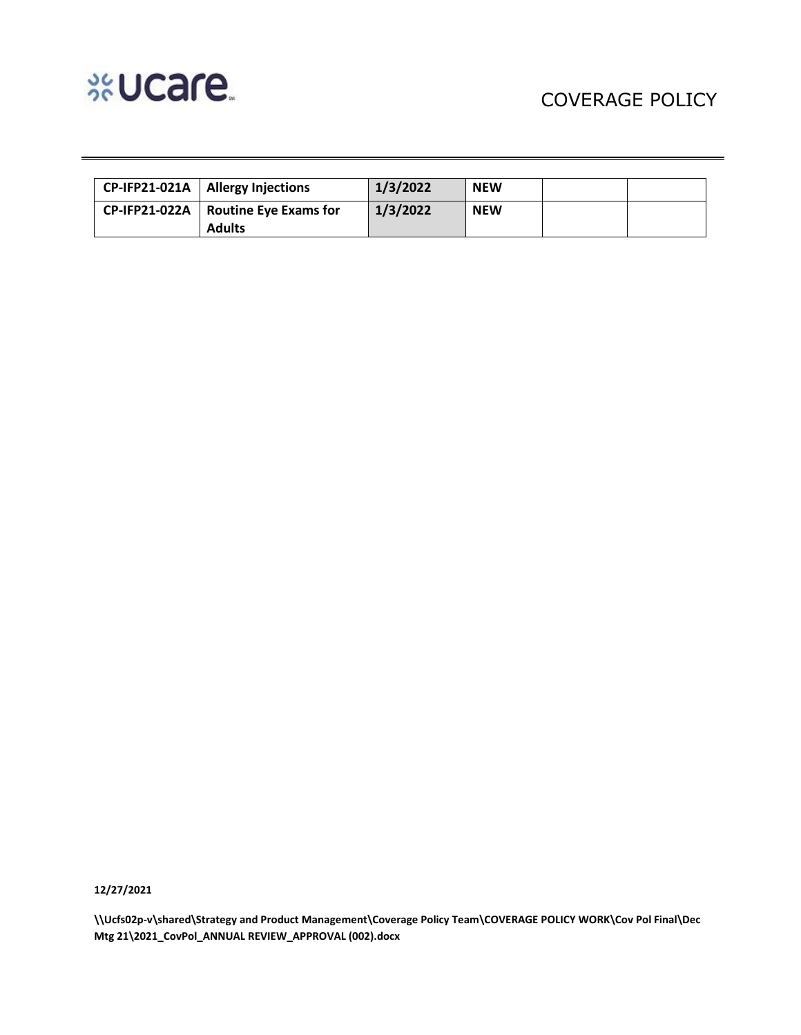

| CP-IFP21-021A   Allergy Injections                     | 1/3/2022 | <b>NEW</b> |  |
|--------------------------------------------------------|----------|------------|--|
| CP-IFP21-022A   Routine Eye Exams for<br><b>Adults</b> | 1/3/2022 | <b>NEW</b> |  |

**12/27/2021**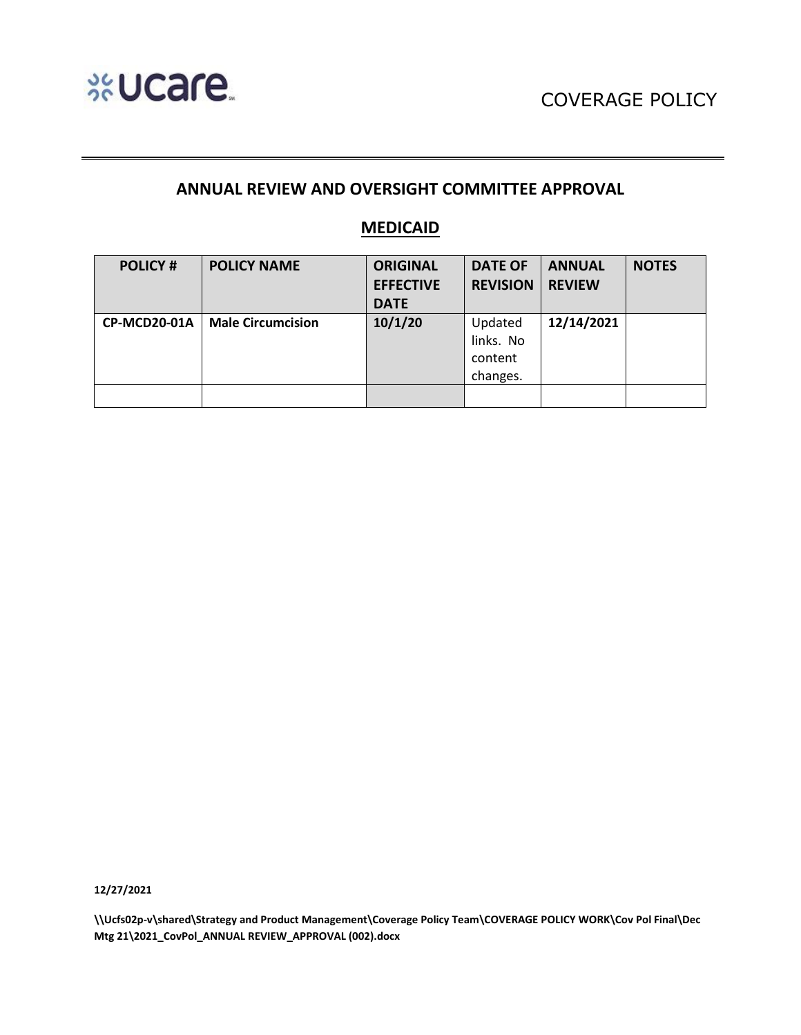

# **ANNUAL REVIEW AND OVERSIGHT COMMITTEE APPROVAL**

### **MEDICAID**

| <b>POLICY#</b> | <b>POLICY NAME</b>       | <b>ORIGINAL</b>  | <b>DATE OF</b>  | <b>ANNUAL</b> | <b>NOTES</b> |
|----------------|--------------------------|------------------|-----------------|---------------|--------------|
|                |                          | <b>EFFECTIVE</b> | <b>REVISION</b> | <b>REVIEW</b> |              |
|                |                          | <b>DATE</b>      |                 |               |              |
| CP-MCD20-01A   | <b>Male Circumcision</b> | 10/1/20          | Updated         | 12/14/2021    |              |
|                |                          |                  | links. No       |               |              |
|                |                          |                  | content         |               |              |
|                |                          |                  | changes.        |               |              |
|                |                          |                  |                 |               |              |

**12/27/2021**